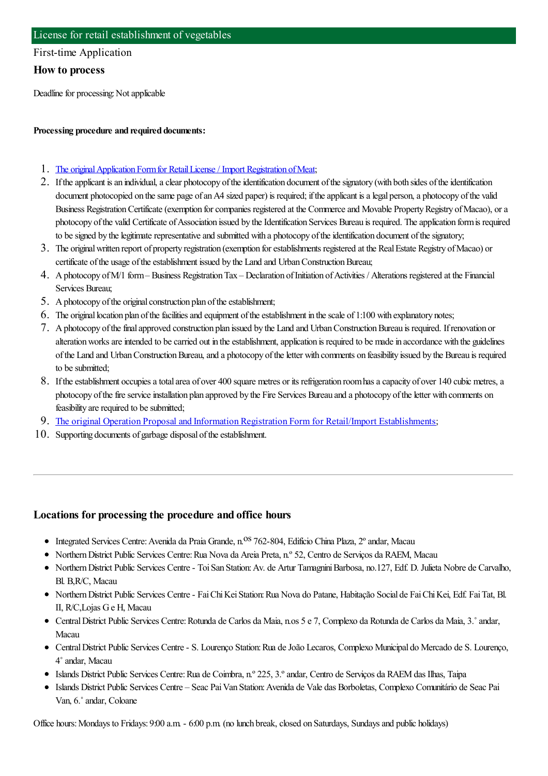### First-time Application

### **How to process**

Deadline for processing: Not applicable

#### **Processing procedure and required documents:**

- 1. The original Application Form for Retail License / Import Registration of Meat;
- 2. If the applicant is an individual, a clear photocopy of the identification document of the signatory (with both sides of the identification document photocopied on the same page of an A4 sized paper) is required; if the applicant is a legal person, a photocopy of the valid Business Registration Certificate (exemption for companies registered at the Commerce and Movable Property Registry of Macao), or a photocopy of the valid Certificate of Association issued by the Identification Services Bureau is required. The application form is required to be signed by the legitimate representative and submitted with a photocopy of the identification document of the signatory;
- 3. The originalwritten report of property registration (exemption forestablishments registered at the RealEstate Registry ofMacao) or certificate of the usage of the establishment issued by the Land and Urban Construction Bureau;
- 4. A photocopy of M/1 form–Business Registration Tax Declaration of Initiation of Activities / Alterations registered at the Financial Services Bureau;
- 5. A photocopy of the original construction plan of the establishment;
- 6. The original location plan of the facilities and equipment of the establishment in the scale of  $1:100$  with explanatory notes;
- 7. Aphotocopy ofthefinalapproved construction plan issued by the Land and UrbanConstructionBureau is required. Ifrenovation or alteration works are intended to be carried out in the establishment, application is required to be made in accordance with the guidelines ofthe Land and UrbanConstructionBureau,and a photocopy oftheletter with comments on feasibility issued by the Bureau is required to be submitted:
- 8. If the establishment occupies a total area of over 400 square metres or its refrigeration room has a capacity of over 140 cubic metres, a photocopy of the fire service installation plan approved by the Fire Services Bureau and a photocopy of the letter with comments on feasibility are required to be submitted;
- 9. The original Operation Proposal and Information Registration Form for Retail/Import [Establishments](https://www.iam.gov.mo/c/pdf/eformDetail/PDF424);
- 10. Supporting documents of garbage disposal of the establishment.

## **Locations for processing the procedure and office hours**

- Integrated Services Centre: Avenida da Praia Grande, n.<sup>os</sup> 762-804, Edifício China Plaza, 2° andar, Macau
- NorthernDistrict Public Services Centre:Rua Nova da Areia Preta, n.º 52, Centro de Serviços da RAEM, Macau
- NorthernDistrict Public Services Centre- ToiSan Station:Av. de Artur TamagniniBarbosa, no.127, Edf. D. Julieta Nobre de Carvalho, Bl. B,R/C, Macau
- NorthernDistrict Public Services Centre- FaiChiKeiStation:Rua Nova do Patane, Habitação Social de FaiChiKei, Edf. FaiTat, Bl. II, R/C,Lojas Ge H, Macau
- CentralDistrict Public Services Centre:Rotunda de Carlos da Maia, n.os 5 e 7, Complexo da Rotunda de Carlos da Maia, 3.˚andar, Macau
- CentralDistrict Public Services Centre- S. Lourenço Station:Rua deJoão Lecaros, Complexo Municipal do Mercado de S. Lourenço, 4˚andar, Macau
- Islands District Public Services Centre:Rua de Coimbra, n.º 225, 3.ºandar, Centro de Serviços da RAEMdas Ilhas, Taipa
- Islands District Public Services Centre Seac PaiVan Station:Avenida de Vale das Borboletas, Complexo Comunitário de Seac Pai Van, 6.˚andar, Coloane

Office hours: Mondays to Fridays: 9:00 a.m. - 6:00 p.m. (no lunch break, closed on Saturdays, Sundays and public holidays)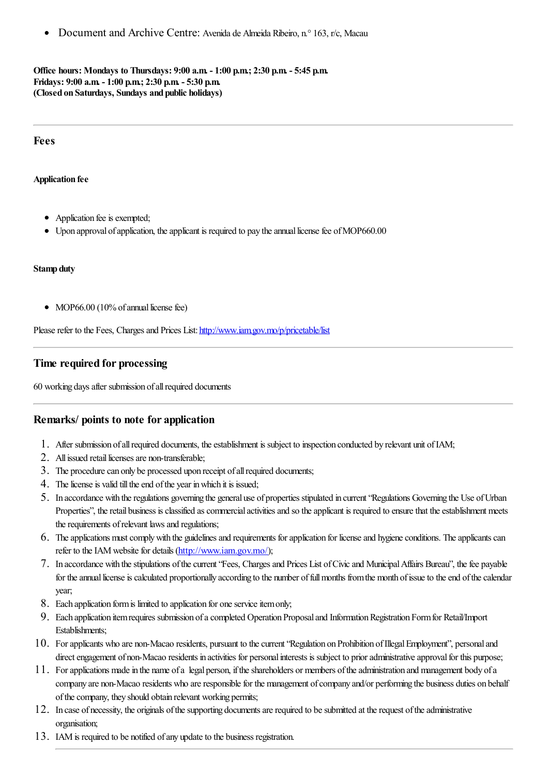Document and Archive Centre: Avenida de Almeida Ribeiro, n.° 163, r/c, Macau

**Office hours: Mondays to Thursdays: 9:00 a.m. - 1:00 p.m.; 2:30 p.m. - 5:45 p.m. Fridays: 9:00 a.m. - 1:00 p.m.; 2:30 p.m. - 5:30 p.m. (Closed on Saturdays, Sundays and public holidays)**

#### **Fees**

**Application fee**

- Application fee is exempted;
- Upon approval of application, the applicant is required to pay the annual license fee of MOP660.00

#### **Stamp duty**

• MOP66.00 (10% of annual license fee)

Please refer to the Fees, Charges and Prices List: <http://www.iam.gov.mo/p/pricetable/list>

### **Time required for processing**

60 working days after submission of all required documents

### **Remarks/ points to note for application**

- 1. After submission ofallrequired documents, theestablishment is subject to inspection conducted by relevant unit ofIAM;
- 2. All issued retail licenses are non-transferable;
- 3. The procedure can only be processed upon receipt of all required documents;
- 4. The license is valid till the end of the year in which it is issued;
- 5. In accordance with theregulations governing the general use of properties stipulated in current"Regulations Governing the Use ofUrban Properties", the retail business is classified as commercial activities and so the applicant is required to ensure that the establishment meets the requirements of relevant laws and regulations;
- 6. The applications must comply with the guidelines and requirements for application for license and hygiene conditions. The applicants can refer to the IAM website for details (<http://www.iam.gov.mo/>);
- 7. In accordance with thestipulations ofthecurrent"Fees, Chargesand Prices List ofCivicand MunicipalAffairs Bureau", thefee payable for the annual license is calculated proportionally according to the number of full months from the month of issue to the end of the calendar year;
- 8. Each application form is limited to application for one service item only;
- 9. Each application itemrequires submission ofacompleted Operation Proposaland InformationRegistration Formfor Retail/Import Establishments;
- 10. Forapplicants who are non-Macao residents, pursuant to thecurrent"Regulation on Prohibition ofIllegalEmployment", personaland direct engagement of non-Macao residents in activities for personal interests is subject to prior administrative approval for this purpose;
- 11. Forapplications madein the name ofa legal person, iftheshareholders or members oftheadministration and management body ofa company are non-Macao residents who are responsible for the management of company and/or performing the business duties on behalf of the company, they should obtain relevant working permits;
- 12. In case of necessity, the originals of the supporting documents are required to be submitted at the request of the administrative organisation;
- 13. IAM is required to be notified of any update to the business registration.